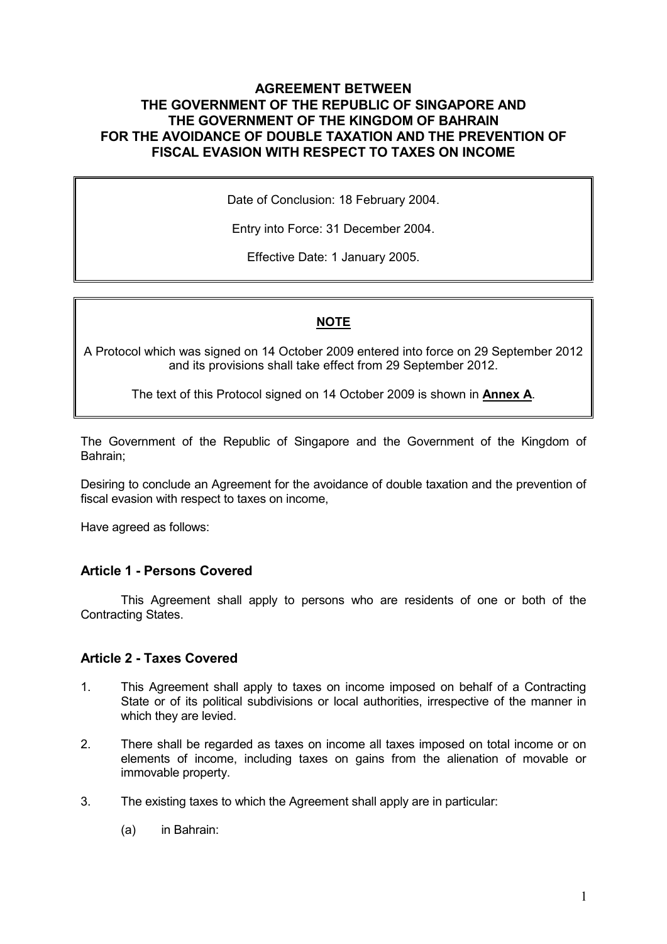#### **AGREEMENT BETWEEN THE GOVERNMENT OF THE REPUBLIC OF SINGAPORE AND THE GOVERNMENT OF THE KINGDOM OF BAHRAIN FOR THE AVOIDANCE OF DOUBLE TAXATION AND THE PREVENTION OF FISCAL EVASION WITH RESPECT TO TAXES ON INCOME**

Date of Conclusion: 18 February 2004.

Entry into Force: 31 December 2004.

Effective Date: 1 January 2005.

#### **NOTE**

A Protocol which was signed on 14 October 2009 entered into force on 29 September 2012 and its provisions shall take effect from 29 September 2012.

The text of this Protocol signed on 14 October 2009 is shown in **Annex A**.

The Government of the Republic of Singapore and the Government of the Kingdom of Bahrain;

Desiring to conclude an Agreement for the avoidance of double taxation and the prevention of fiscal evasion with respect to taxes on income,

Have agreed as follows:

#### **Article 1 - Persons Covered**

 This Agreement shall apply to persons who are residents of one or both of the Contracting States.

#### **Article 2 - Taxes Covered**

- 1. This Agreement shall apply to taxes on income imposed on behalf of a Contracting State or of its political subdivisions or local authorities, irrespective of the manner in which they are levied.
- 2. There shall be regarded as taxes on income all taxes imposed on total income or on elements of income, including taxes on gains from the alienation of movable or immovable property.
- 3. The existing taxes to which the Agreement shall apply are in particular:
	- (a) in Bahrain: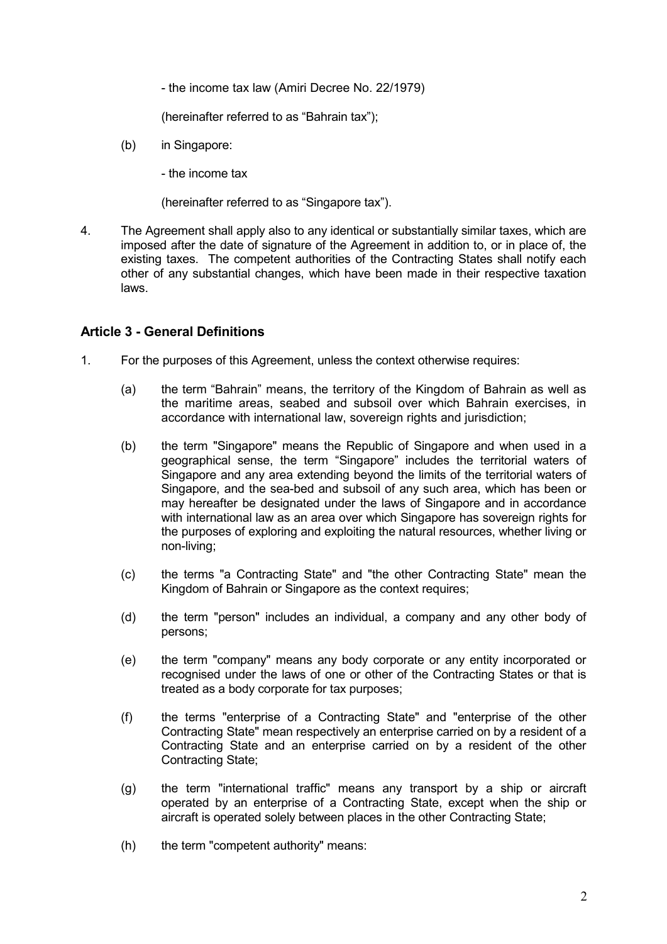- the income tax law (Amiri Decree No. 22/1979)

(hereinafter referred to as "Bahrain tax");

- (b) in Singapore:
	- the income tax

(hereinafter referred to as "Singapore tax").

4. The Agreement shall apply also to any identical or substantially similar taxes, which are imposed after the date of signature of the Agreement in addition to, or in place of, the existing taxes. The competent authorities of the Contracting States shall notify each other of any substantial changes, which have been made in their respective taxation laws.

#### **Article 3 - General Definitions**

- 1. For the purposes of this Agreement, unless the context otherwise requires:
	- (a) the term "Bahrain" means, the territory of the Kingdom of Bahrain as well as the maritime areas, seabed and subsoil over which Bahrain exercises, in accordance with international law, sovereign rights and jurisdiction;
	- (b) the term "Singapore" means the Republic of Singapore and when used in a geographical sense, the term "Singapore" includes the territorial waters of Singapore and any area extending beyond the limits of the territorial waters of Singapore, and the sea-bed and subsoil of any such area, which has been or may hereafter be designated under the laws of Singapore and in accordance with international law as an area over which Singapore has sovereign rights for the purposes of exploring and exploiting the natural resources, whether living or non-living;
	- (c) the terms "a Contracting State" and "the other Contracting State" mean the Kingdom of Bahrain or Singapore as the context requires;
	- (d) the term "person" includes an individual, a company and any other body of persons;
	- (e) the term "company" means any body corporate or any entity incorporated or recognised under the laws of one or other of the Contracting States or that is treated as a body corporate for tax purposes;
	- (f) the terms "enterprise of a Contracting State" and "enterprise of the other Contracting State" mean respectively an enterprise carried on by a resident of a Contracting State and an enterprise carried on by a resident of the other Contracting State;
	- (g) the term "international traffic" means any transport by a ship or aircraft operated by an enterprise of a Contracting State, except when the ship or aircraft is operated solely between places in the other Contracting State;
	- (h) the term "competent authority" means: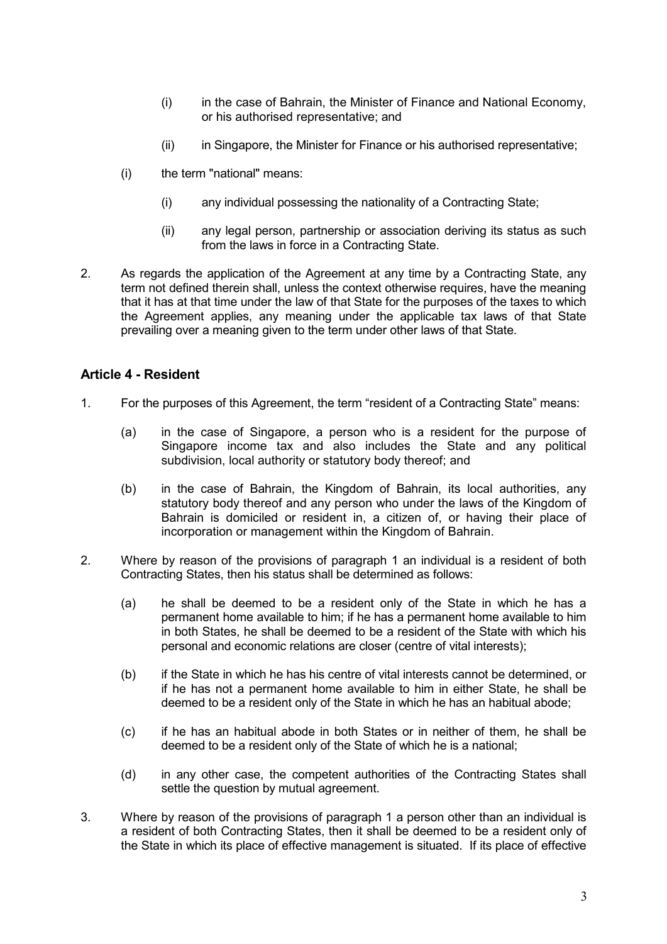- (i) in the case of Bahrain, the Minister of Finance and National Economy, or his authorised representative; and
- (ii) in Singapore, the Minister for Finance or his authorised representative;
- (i) the term "national" means:
	- (i) any individual possessing the nationality of a Contracting State;
	- (ii) any legal person, partnership or association deriving its status as such from the laws in force in a Contracting State.
- 2. As regards the application of the Agreement at any time by a Contracting State, any term not defined therein shall, unless the context otherwise requires, have the meaning that it has at that time under the law of that State for the purposes of the taxes to which the Agreement applies, any meaning under the applicable tax laws of that State prevailing over a meaning given to the term under other laws of that State.

#### **Article 4 - Resident**

- 1. For the purposes of this Agreement, the term "resident of a Contracting State" means:
	- (a) in the case of Singapore, a person who is a resident for the purpose of Singapore income tax and also includes the State and any political subdivision, local authority or statutory body thereof; and
	- (b) in the case of Bahrain, the Kingdom of Bahrain, its local authorities, any statutory body thereof and any person who under the laws of the Kingdom of Bahrain is domiciled or resident in, a citizen of, or having their place of incorporation or management within the Kingdom of Bahrain.
- 2. Where by reason of the provisions of paragraph 1 an individual is a resident of both Contracting States, then his status shall be determined as follows:
	- (a) he shall be deemed to be a resident only of the State in which he has a permanent home available to him; if he has a permanent home available to him in both States, he shall be deemed to be a resident of the State with which his personal and economic relations are closer (centre of vital interests);
	- (b) if the State in which he has his centre of vital interests cannot be determined, or if he has not a permanent home available to him in either State, he shall be deemed to be a resident only of the State in which he has an habitual abode;
	- (c) if he has an habitual abode in both States or in neither of them, he shall be deemed to be a resident only of the State of which he is a national;
	- (d) in any other case, the competent authorities of the Contracting States shall settle the question by mutual agreement.
- 3. Where by reason of the provisions of paragraph 1 a person other than an individual is a resident of both Contracting States, then it shall be deemed to be a resident only of the State in which its place of effective management is situated. If its place of effective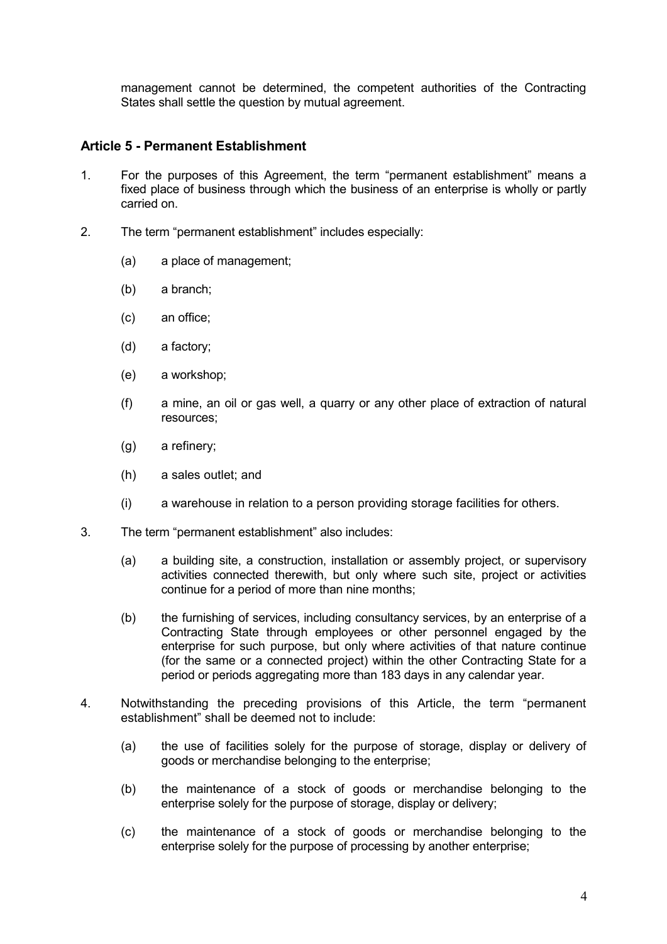management cannot be determined, the competent authorities of the Contracting States shall settle the question by mutual agreement.

#### **Article 5 - Permanent Establishment**

- 1. For the purposes of this Agreement, the term "permanent establishment" means a fixed place of business through which the business of an enterprise is wholly or partly carried on.
- 2. The term "permanent establishment" includes especially:
	- (a) a place of management;
	- (b) a branch;
	- (c) an office;
	- (d) a factory;
	- (e) a workshop;
	- (f) a mine, an oil or gas well, a quarry or any other place of extraction of natural resources;
	- (g) a refinery;
	- (h) a sales outlet; and
	- (i) a warehouse in relation to a person providing storage facilities for others.
- 3. The term "permanent establishment" also includes:
	- (a) a building site, a construction, installation or assembly project, or supervisory activities connected therewith, but only where such site, project or activities continue for a period of more than nine months;
	- (b) the furnishing of services, including consultancy services, by an enterprise of a Contracting State through employees or other personnel engaged by the enterprise for such purpose, but only where activities of that nature continue (for the same or a connected project) within the other Contracting State for a period or periods aggregating more than 183 days in any calendar year.
- 4. Notwithstanding the preceding provisions of this Article, the term "permanent establishment" shall be deemed not to include:
	- (a) the use of facilities solely for the purpose of storage, display or delivery of goods or merchandise belonging to the enterprise;
	- (b) the maintenance of a stock of goods or merchandise belonging to the enterprise solely for the purpose of storage, display or delivery;
	- (c) the maintenance of a stock of goods or merchandise belonging to the enterprise solely for the purpose of processing by another enterprise;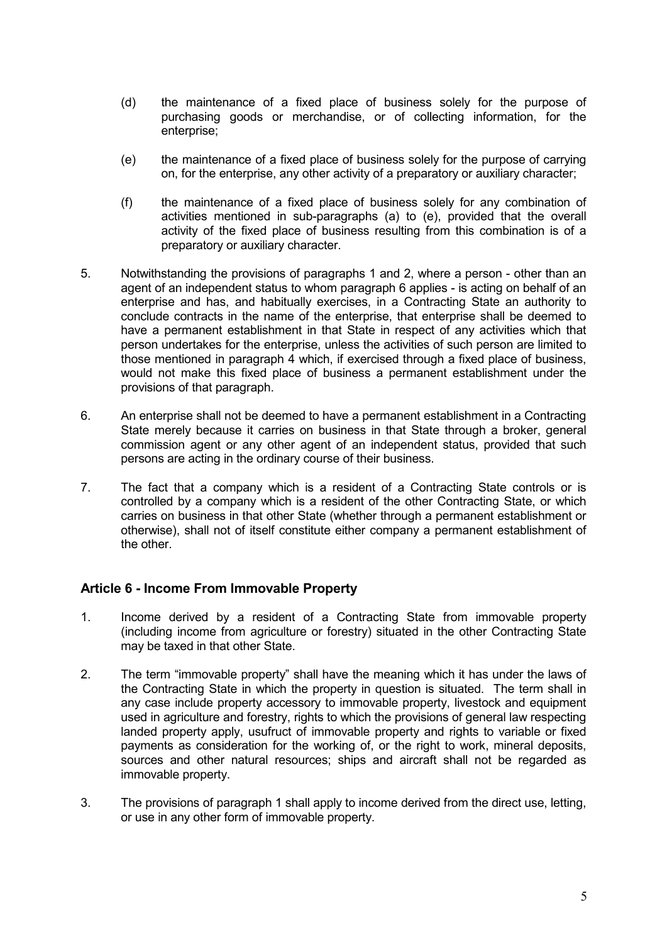- (d) the maintenance of a fixed place of business solely for the purpose of purchasing goods or merchandise, or of collecting information, for the enterprise;
- (e) the maintenance of a fixed place of business solely for the purpose of carrying on, for the enterprise, any other activity of a preparatory or auxiliary character;
- (f) the maintenance of a fixed place of business solely for any combination of activities mentioned in sub-paragraphs (a) to (e), provided that the overall activity of the fixed place of business resulting from this combination is of a preparatory or auxiliary character.
- 5. Notwithstanding the provisions of paragraphs 1 and 2, where a person other than an agent of an independent status to whom paragraph 6 applies - is acting on behalf of an enterprise and has, and habitually exercises, in a Contracting State an authority to conclude contracts in the name of the enterprise, that enterprise shall be deemed to have a permanent establishment in that State in respect of any activities which that person undertakes for the enterprise, unless the activities of such person are limited to those mentioned in paragraph 4 which, if exercised through a fixed place of business, would not make this fixed place of business a permanent establishment under the provisions of that paragraph.
- 6. An enterprise shall not be deemed to have a permanent establishment in a Contracting State merely because it carries on business in that State through a broker, general commission agent or any other agent of an independent status, provided that such persons are acting in the ordinary course of their business.
- 7. The fact that a company which is a resident of a Contracting State controls or is controlled by a company which is a resident of the other Contracting State, or which carries on business in that other State (whether through a permanent establishment or otherwise), shall not of itself constitute either company a permanent establishment of the other.

#### **Article 6 - Income From Immovable Property**

- 1. Income derived by a resident of a Contracting State from immovable property (including income from agriculture or forestry) situated in the other Contracting State may be taxed in that other State.
- 2. The term "immovable property" shall have the meaning which it has under the laws of the Contracting State in which the property in question is situated. The term shall in any case include property accessory to immovable property, livestock and equipment used in agriculture and forestry, rights to which the provisions of general law respecting landed property apply, usufruct of immovable property and rights to variable or fixed payments as consideration for the working of, or the right to work, mineral deposits, sources and other natural resources; ships and aircraft shall not be regarded as immovable property.
- 3. The provisions of paragraph 1 shall apply to income derived from the direct use, letting, or use in any other form of immovable property.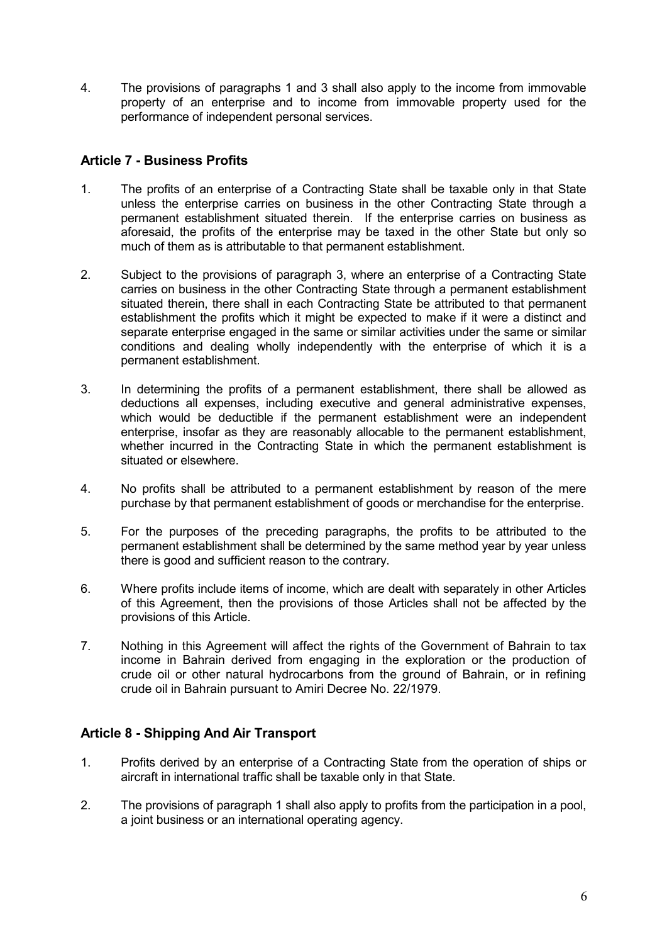4. The provisions of paragraphs 1 and 3 shall also apply to the income from immovable property of an enterprise and to income from immovable property used for the performance of independent personal services.

#### **Article 7 - Business Profits**

- 1. The profits of an enterprise of a Contracting State shall be taxable only in that State unless the enterprise carries on business in the other Contracting State through a permanent establishment situated therein. If the enterprise carries on business as aforesaid, the profits of the enterprise may be taxed in the other State but only so much of them as is attributable to that permanent establishment.
- 2. Subject to the provisions of paragraph 3, where an enterprise of a Contracting State carries on business in the other Contracting State through a permanent establishment situated therein, there shall in each Contracting State be attributed to that permanent establishment the profits which it might be expected to make if it were a distinct and separate enterprise engaged in the same or similar activities under the same or similar conditions and dealing wholly independently with the enterprise of which it is a permanent establishment.
- 3. In determining the profits of a permanent establishment, there shall be allowed as deductions all expenses, including executive and general administrative expenses, which would be deductible if the permanent establishment were an independent enterprise, insofar as they are reasonably allocable to the permanent establishment, whether incurred in the Contracting State in which the permanent establishment is situated or elsewhere.
- 4. No profits shall be attributed to a permanent establishment by reason of the mere purchase by that permanent establishment of goods or merchandise for the enterprise.
- 5. For the purposes of the preceding paragraphs, the profits to be attributed to the permanent establishment shall be determined by the same method year by year unless there is good and sufficient reason to the contrary.
- 6. Where profits include items of income, which are dealt with separately in other Articles of this Agreement, then the provisions of those Articles shall not be affected by the provisions of this Article.
- 7. Nothing in this Agreement will affect the rights of the Government of Bahrain to tax income in Bahrain derived from engaging in the exploration or the production of crude oil or other natural hydrocarbons from the ground of Bahrain, or in refining crude oil in Bahrain pursuant to Amiri Decree No. 22/1979.

# **Article 8 - Shipping And Air Transport**

- 1. Profits derived by an enterprise of a Contracting State from the operation of ships or aircraft in international traffic shall be taxable only in that State.
- 2. The provisions of paragraph 1 shall also apply to profits from the participation in a pool, a joint business or an international operating agency.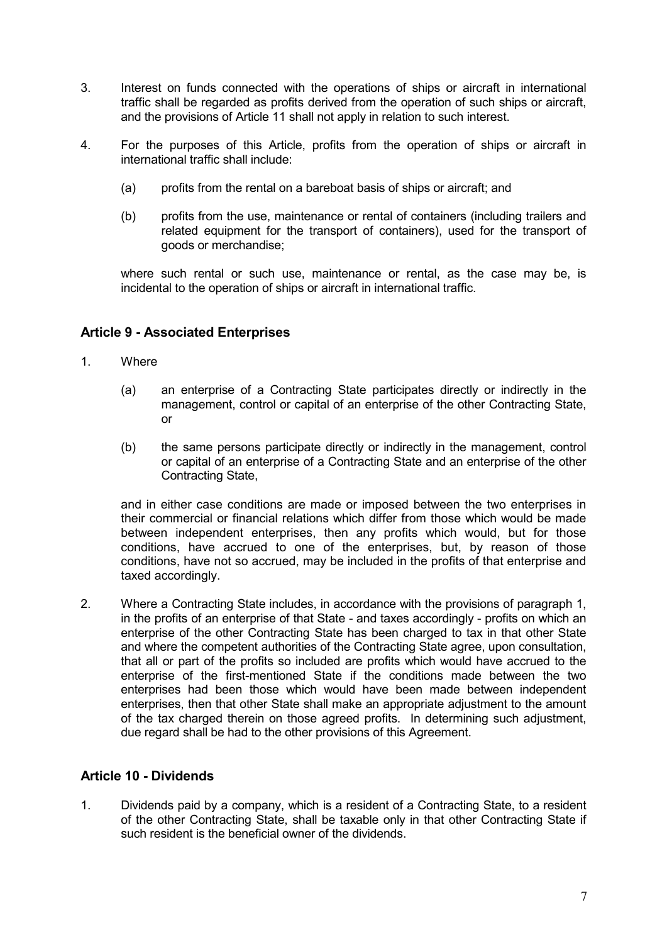- 3. Interest on funds connected with the operations of ships or aircraft in international traffic shall be regarded as profits derived from the operation of such ships or aircraft, and the provisions of Article 11 shall not apply in relation to such interest.
- 4. For the purposes of this Article, profits from the operation of ships or aircraft in international traffic shall include:
	- (a) profits from the rental on a bareboat basis of ships or aircraft; and
	- (b) profits from the use, maintenance or rental of containers (including trailers and related equipment for the transport of containers), used for the transport of goods or merchandise;

where such rental or such use, maintenance or rental, as the case may be, is incidental to the operation of ships or aircraft in international traffic.

## **Article 9 - Associated Enterprises**

- 1. Where
	- (a) an enterprise of a Contracting State participates directly or indirectly in the management, control or capital of an enterprise of the other Contracting State, or
	- (b) the same persons participate directly or indirectly in the management, control or capital of an enterprise of a Contracting State and an enterprise of the other Contracting State,

and in either case conditions are made or imposed between the two enterprises in their commercial or financial relations which differ from those which would be made between independent enterprises, then any profits which would, but for those conditions, have accrued to one of the enterprises, but, by reason of those conditions, have not so accrued, may be included in the profits of that enterprise and taxed accordingly.

2. Where a Contracting State includes, in accordance with the provisions of paragraph 1, in the profits of an enterprise of that State - and taxes accordingly - profits on which an enterprise of the other Contracting State has been charged to tax in that other State and where the competent authorities of the Contracting State agree, upon consultation, that all or part of the profits so included are profits which would have accrued to the enterprise of the first-mentioned State if the conditions made between the two enterprises had been those which would have been made between independent enterprises, then that other State shall make an appropriate adjustment to the amount of the tax charged therein on those agreed profits. In determining such adjustment, due regard shall be had to the other provisions of this Agreement.

#### **Article 10 - Dividends**

1. Dividends paid by a company, which is a resident of a Contracting State, to a resident of the other Contracting State, shall be taxable only in that other Contracting State if such resident is the beneficial owner of the dividends.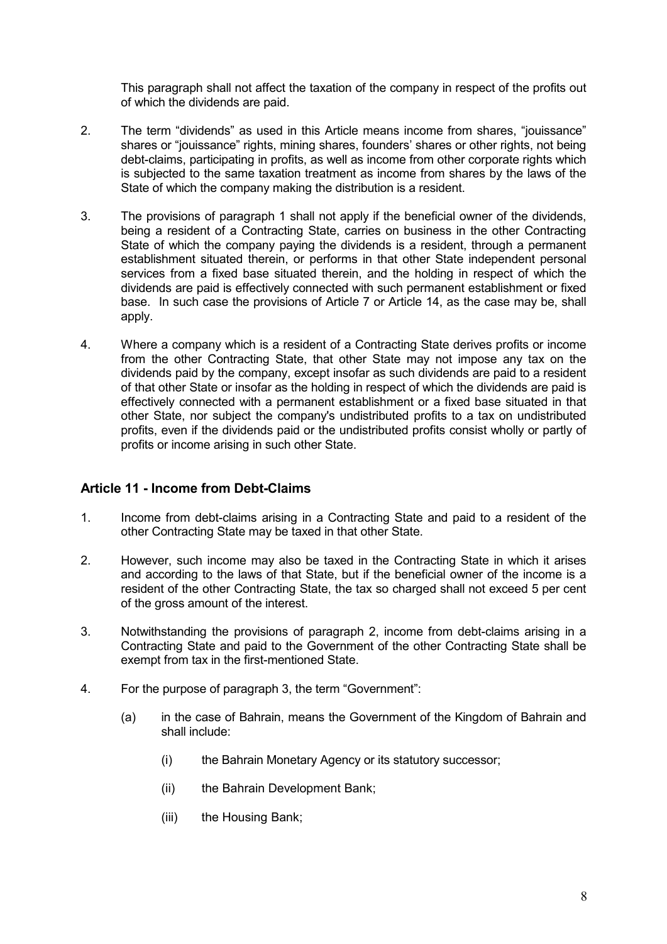This paragraph shall not affect the taxation of the company in respect of the profits out of which the dividends are paid.

- 2. The term "dividends" as used in this Article means income from shares, "jouissance" shares or "jouissance" rights, mining shares, founders' shares or other rights, not being debt-claims, participating in profits, as well as income from other corporate rights which is subjected to the same taxation treatment as income from shares by the laws of the State of which the company making the distribution is a resident.
- 3. The provisions of paragraph 1 shall not apply if the beneficial owner of the dividends, being a resident of a Contracting State, carries on business in the other Contracting State of which the company paying the dividends is a resident, through a permanent establishment situated therein, or performs in that other State independent personal services from a fixed base situated therein, and the holding in respect of which the dividends are paid is effectively connected with such permanent establishment or fixed base. In such case the provisions of Article 7 or Article 14, as the case may be, shall apply.
- 4. Where a company which is a resident of a Contracting State derives profits or income from the other Contracting State, that other State may not impose any tax on the dividends paid by the company, except insofar as such dividends are paid to a resident of that other State or insofar as the holding in respect of which the dividends are paid is effectively connected with a permanent establishment or a fixed base situated in that other State, nor subject the company's undistributed profits to a tax on undistributed profits, even if the dividends paid or the undistributed profits consist wholly or partly of profits or income arising in such other State.

#### **Article 11 - Income from Debt-Claims**

- 1. Income from debt-claims arising in a Contracting State and paid to a resident of the other Contracting State may be taxed in that other State.
- 2. However, such income may also be taxed in the Contracting State in which it arises and according to the laws of that State, but if the beneficial owner of the income is a resident of the other Contracting State, the tax so charged shall not exceed 5 per cent of the gross amount of the interest.
- 3. Notwithstanding the provisions of paragraph 2, income from debt-claims arising in a Contracting State and paid to the Government of the other Contracting State shall be exempt from tax in the first-mentioned State.
- 4. For the purpose of paragraph 3, the term "Government":
	- (a) in the case of Bahrain, means the Government of the Kingdom of Bahrain and shall include:
		- (i) the Bahrain Monetary Agency or its statutory successor;
		- (ii) the Bahrain Development Bank;
		- (iii) the Housing Bank;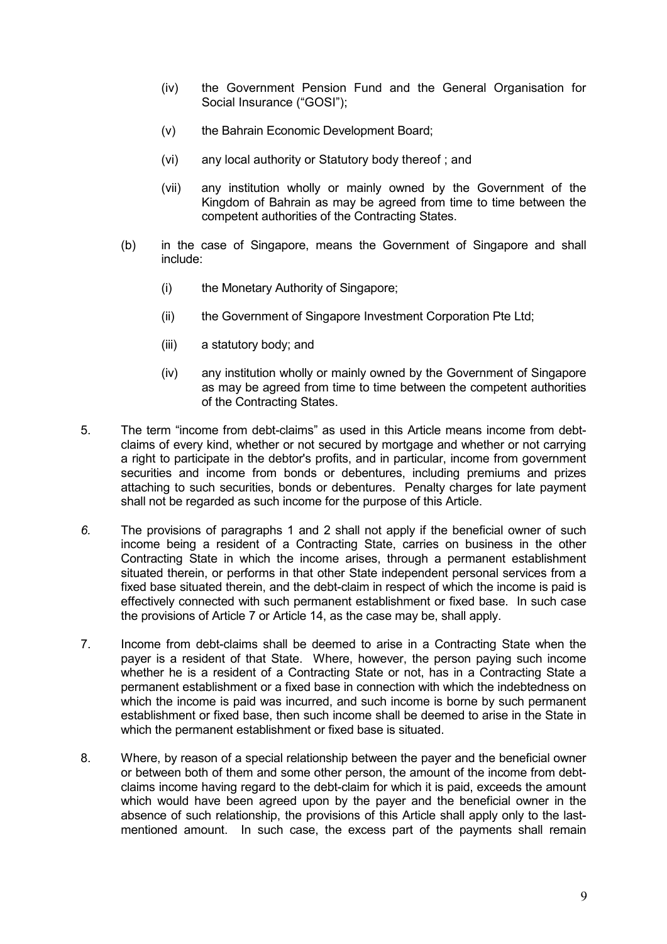- (iv) the Government Pension Fund and the General Organisation for Social Insurance ("GOSI");
- (v) the Bahrain Economic Development Board;
- (vi) any local authority or Statutory body thereof ; and
- (vii) any institution wholly or mainly owned by the Government of the Kingdom of Bahrain as may be agreed from time to time between the competent authorities of the Contracting States.
- (b) in the case of Singapore, means the Government of Singapore and shall include:
	- (i) the Monetary Authority of Singapore;
	- (ii) the Government of Singapore Investment Corporation Pte Ltd:
	- (iii) a statutory body; and
	- (iv) any institution wholly or mainly owned by the Government of Singapore as may be agreed from time to time between the competent authorities of the Contracting States.
- 5. The term "income from debt-claims" as used in this Article means income from debtclaims of every kind, whether or not secured by mortgage and whether or not carrying a right to participate in the debtor's profits, and in particular, income from government securities and income from bonds or debentures, including premiums and prizes attaching to such securities, bonds or debentures. Penalty charges for late payment shall not be regarded as such income for the purpose of this Article.
- *6.* The provisions of paragraphs 1 and 2 shall not apply if the beneficial owner of such income being a resident of a Contracting State, carries on business in the other Contracting State in which the income arises, through a permanent establishment situated therein, or performs in that other State independent personal services from a fixed base situated therein, and the debt-claim in respect of which the income is paid is effectively connected with such permanent establishment or fixed base. In such case the provisions of Article 7 or Article 14, as the case may be, shall apply.
- 7. Income from debt-claims shall be deemed to arise in a Contracting State when the payer is a resident of that State. Where, however, the person paying such income whether he is a resident of a Contracting State or not, has in a Contracting State a permanent establishment or a fixed base in connection with which the indebtedness on which the income is paid was incurred, and such income is borne by such permanent establishment or fixed base, then such income shall be deemed to arise in the State in which the permanent establishment or fixed base is situated.
- 8. Where, by reason of a special relationship between the payer and the beneficial owner or between both of them and some other person, the amount of the income from debtclaims income having regard to the debt-claim for which it is paid, exceeds the amount which would have been agreed upon by the payer and the beneficial owner in the absence of such relationship, the provisions of this Article shall apply only to the lastmentioned amount. In such case, the excess part of the payments shall remain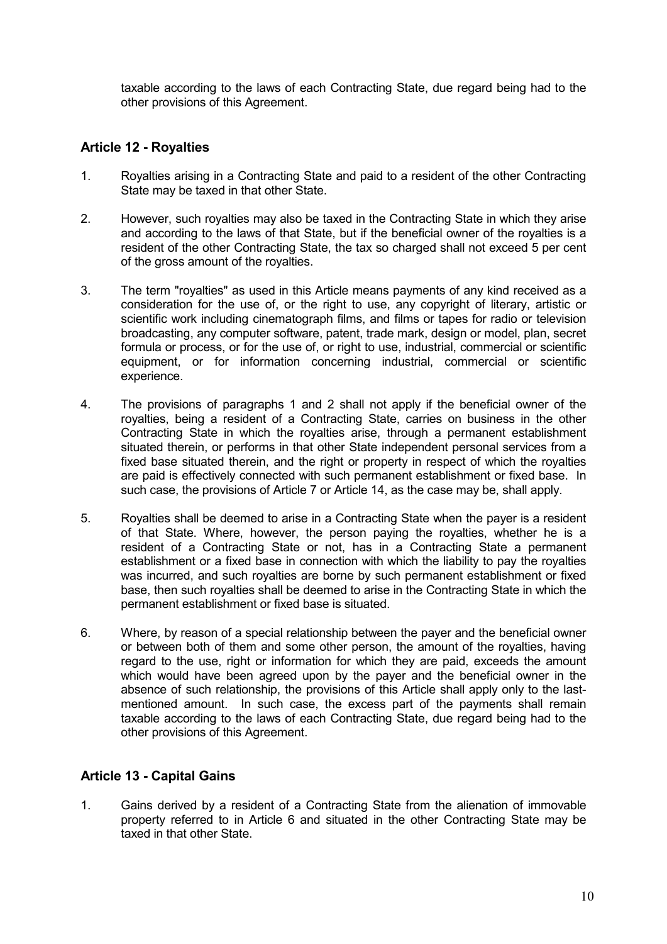taxable according to the laws of each Contracting State, due regard being had to the other provisions of this Agreement.

#### **Article 12 - Royalties**

- 1. Royalties arising in a Contracting State and paid to a resident of the other Contracting State may be taxed in that other State.
- 2. However, such royalties may also be taxed in the Contracting State in which they arise and according to the laws of that State, but if the beneficial owner of the royalties is a resident of the other Contracting State, the tax so charged shall not exceed 5 per cent of the gross amount of the royalties.
- 3. The term "royalties" as used in this Article means payments of any kind received as a consideration for the use of, or the right to use, any copyright of literary, artistic or scientific work including cinematograph films, and films or tapes for radio or television broadcasting, any computer software, patent, trade mark, design or model, plan, secret formula or process, or for the use of, or right to use, industrial, commercial or scientific equipment, or for information concerning industrial, commercial or scientific experience.
- 4. The provisions of paragraphs 1 and 2 shall not apply if the beneficial owner of the royalties, being a resident of a Contracting State, carries on business in the other Contracting State in which the royalties arise, through a permanent establishment situated therein, or performs in that other State independent personal services from a fixed base situated therein, and the right or property in respect of which the royalties are paid is effectively connected with such permanent establishment or fixed base. In such case, the provisions of Article 7 or Article 14, as the case may be, shall apply.
- 5. Royalties shall be deemed to arise in a Contracting State when the payer is a resident of that State. Where, however, the person paying the royalties, whether he is a resident of a Contracting State or not, has in a Contracting State a permanent establishment or a fixed base in connection with which the liability to pay the royalties was incurred, and such royalties are borne by such permanent establishment or fixed base, then such royalties shall be deemed to arise in the Contracting State in which the permanent establishment or fixed base is situated.
- 6. Where, by reason of a special relationship between the payer and the beneficial owner or between both of them and some other person, the amount of the royalties, having regard to the use, right or information for which they are paid, exceeds the amount which would have been agreed upon by the payer and the beneficial owner in the absence of such relationship, the provisions of this Article shall apply only to the lastmentioned amount. In such case, the excess part of the payments shall remain taxable according to the laws of each Contracting State, due regard being had to the other provisions of this Agreement.

#### **Article 13 - Capital Gains**

1. Gains derived by a resident of a Contracting State from the alienation of immovable property referred to in Article 6 and situated in the other Contracting State may be taxed in that other State.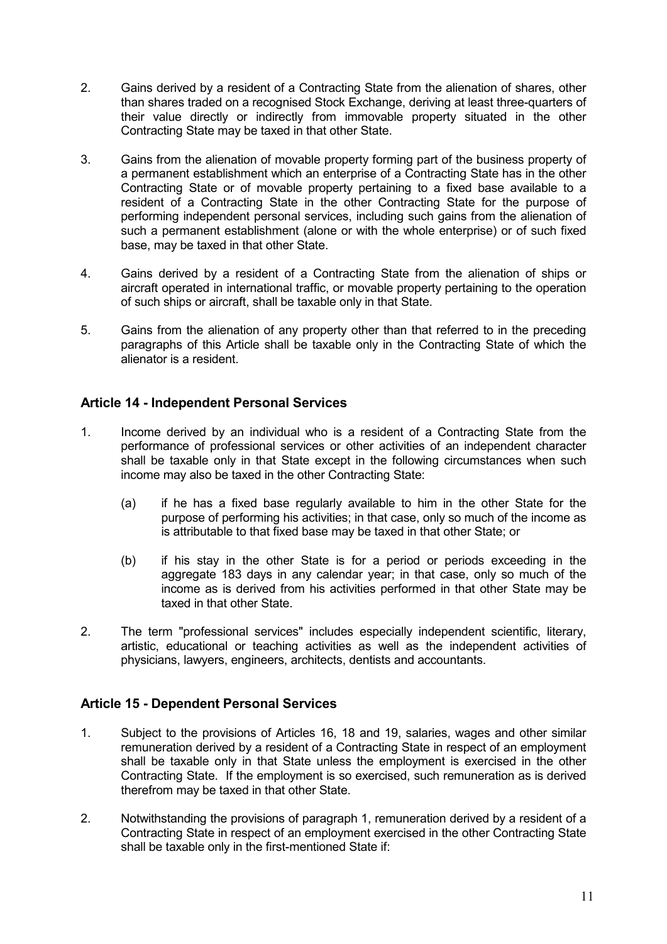- 2. Gains derived by a resident of a Contracting State from the alienation of shares, other than shares traded on a recognised Stock Exchange, deriving at least three-quarters of their value directly or indirectly from immovable property situated in the other Contracting State may be taxed in that other State.
- 3. Gains from the alienation of movable property forming part of the business property of a permanent establishment which an enterprise of a Contracting State has in the other Contracting State or of movable property pertaining to a fixed base available to a resident of a Contracting State in the other Contracting State for the purpose of performing independent personal services, including such gains from the alienation of such a permanent establishment (alone or with the whole enterprise) or of such fixed base, may be taxed in that other State.
- 4. Gains derived by a resident of a Contracting State from the alienation of ships or aircraft operated in international traffic, or movable property pertaining to the operation of such ships or aircraft, shall be taxable only in that State.
- 5. Gains from the alienation of any property other than that referred to in the preceding paragraphs of this Article shall be taxable only in the Contracting State of which the alienator is a resident.

# **Article 14 - Independent Personal Services**

- 1. Income derived by an individual who is a resident of a Contracting State from the performance of professional services or other activities of an independent character shall be taxable only in that State except in the following circumstances when such income may also be taxed in the other Contracting State:
	- (a) if he has a fixed base regularly available to him in the other State for the purpose of performing his activities; in that case, only so much of the income as is attributable to that fixed base may be taxed in that other State; or
	- (b) if his stay in the other State is for a period or periods exceeding in the aggregate 183 days in any calendar year; in that case, only so much of the income as is derived from his activities performed in that other State may be taxed in that other State.
- 2. The term "professional services" includes especially independent scientific, literary, artistic, educational or teaching activities as well as the independent activities of physicians, lawyers, engineers, architects, dentists and accountants.

#### **Article 15 - Dependent Personal Services**

- 1. Subject to the provisions of Articles 16, 18 and 19, salaries, wages and other similar remuneration derived by a resident of a Contracting State in respect of an employment shall be taxable only in that State unless the employment is exercised in the other Contracting State. If the employment is so exercised, such remuneration as is derived therefrom may be taxed in that other State.
- 2. Notwithstanding the provisions of paragraph 1, remuneration derived by a resident of a Contracting State in respect of an employment exercised in the other Contracting State shall be taxable only in the first-mentioned State if: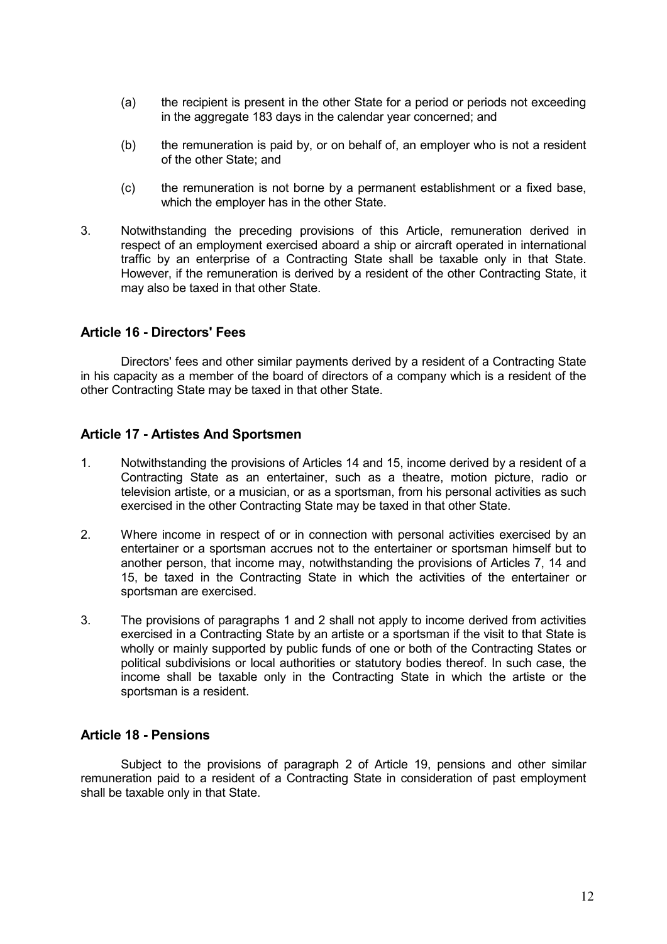- (a) the recipient is present in the other State for a period or periods not exceeding in the aggregate 183 days in the calendar year concerned; and
- (b) the remuneration is paid by, or on behalf of, an employer who is not a resident of the other State; and
- (c) the remuneration is not borne by a permanent establishment or a fixed base, which the employer has in the other State.
- 3. Notwithstanding the preceding provisions of this Article, remuneration derived in respect of an employment exercised aboard a ship or aircraft operated in international traffic by an enterprise of a Contracting State shall be taxable only in that State. However, if the remuneration is derived by a resident of the other Contracting State, it may also be taxed in that other State.

#### **Article 16 - Directors' Fees**

 Directors' fees and other similar payments derived by a resident of a Contracting State in his capacity as a member of the board of directors of a company which is a resident of the other Contracting State may be taxed in that other State.

#### **Article 17 - Artistes And Sportsmen**

- 1. Notwithstanding the provisions of Articles 14 and 15, income derived by a resident of a Contracting State as an entertainer, such as a theatre, motion picture, radio or television artiste, or a musician, or as a sportsman, from his personal activities as such exercised in the other Contracting State may be taxed in that other State.
- 2. Where income in respect of or in connection with personal activities exercised by an entertainer or a sportsman accrues not to the entertainer or sportsman himself but to another person, that income may, notwithstanding the provisions of Articles 7, 14 and 15, be taxed in the Contracting State in which the activities of the entertainer or sportsman are exercised.
- 3. The provisions of paragraphs 1 and 2 shall not apply to income derived from activities exercised in a Contracting State by an artiste or a sportsman if the visit to that State is wholly or mainly supported by public funds of one or both of the Contracting States or political subdivisions or local authorities or statutory bodies thereof. In such case, the income shall be taxable only in the Contracting State in which the artiste or the sportsman is a resident.

# **Article 18 - Pensions**

 Subject to the provisions of paragraph 2 of Article 19, pensions and other similar remuneration paid to a resident of a Contracting State in consideration of past employment shall be taxable only in that State.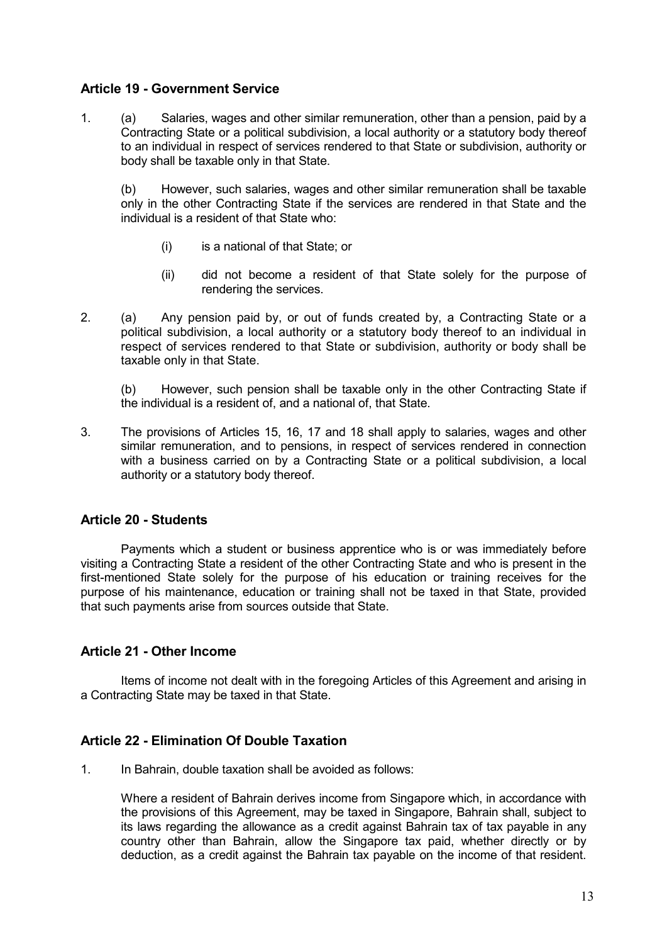#### **Article 19 - Government Service**

1. (a) Salaries, wages and other similar remuneration, other than a pension, paid by a Contracting State or a political subdivision, a local authority or a statutory body thereof to an individual in respect of services rendered to that State or subdivision, authority or body shall be taxable only in that State.

(b) However, such salaries, wages and other similar remuneration shall be taxable only in the other Contracting State if the services are rendered in that State and the individual is a resident of that State who:

- (i) is a national of that State; or
- (ii) did not become a resident of that State solely for the purpose of rendering the services.
- 2. (a) Any pension paid by, or out of funds created by, a Contracting State or a political subdivision, a local authority or a statutory body thereof to an individual in respect of services rendered to that State or subdivision, authority or body shall be taxable only in that State.

(b) However, such pension shall be taxable only in the other Contracting State if the individual is a resident of, and a national of, that State.

3. The provisions of Articles 15, 16, 17 and 18 shall apply to salaries, wages and other similar remuneration, and to pensions, in respect of services rendered in connection with a business carried on by a Contracting State or a political subdivision, a local authority or a statutory body thereof.

#### **Article 20 - Students**

 Payments which a student or business apprentice who is or was immediately before visiting a Contracting State a resident of the other Contracting State and who is present in the first-mentioned State solely for the purpose of his education or training receives for the purpose of his maintenance, education or training shall not be taxed in that State, provided that such payments arise from sources outside that State.

#### **Article 21 - Other Income**

 Items of income not dealt with in the foregoing Articles of this Agreement and arising in a Contracting State may be taxed in that State.

#### **Article 22 - Elimination Of Double Taxation**

1. In Bahrain, double taxation shall be avoided as follows:

Where a resident of Bahrain derives income from Singapore which, in accordance with the provisions of this Agreement, may be taxed in Singapore, Bahrain shall, subject to its laws regarding the allowance as a credit against Bahrain tax of tax payable in any country other than Bahrain, allow the Singapore tax paid, whether directly or by deduction, as a credit against the Bahrain tax payable on the income of that resident.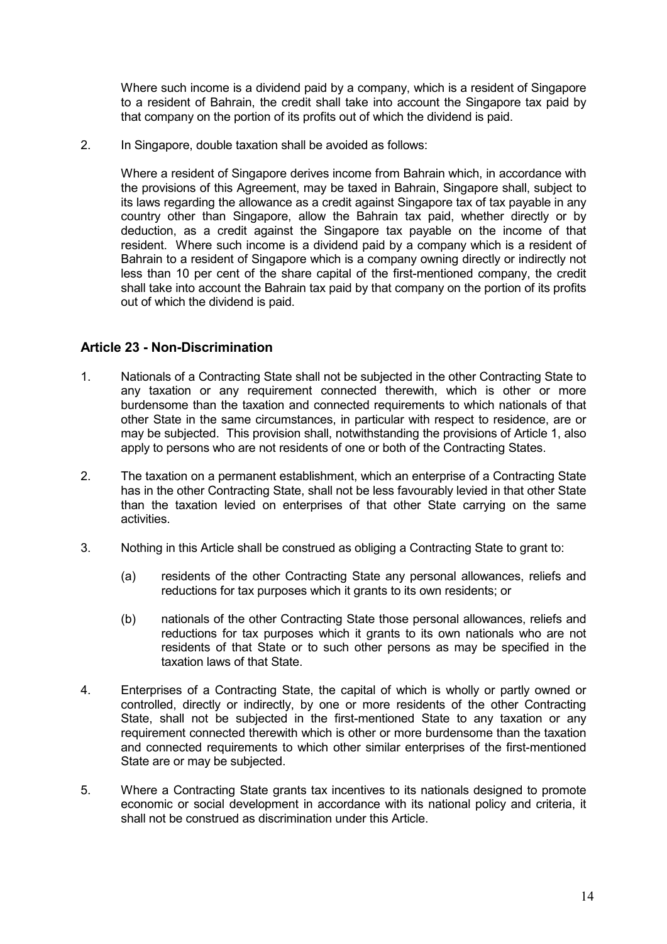Where such income is a dividend paid by a company, which is a resident of Singapore to a resident of Bahrain, the credit shall take into account the Singapore tax paid by that company on the portion of its profits out of which the dividend is paid.

2. In Singapore, double taxation shall be avoided as follows:

Where a resident of Singapore derives income from Bahrain which, in accordance with the provisions of this Agreement, may be taxed in Bahrain, Singapore shall, subject to its laws regarding the allowance as a credit against Singapore tax of tax payable in any country other than Singapore, allow the Bahrain tax paid, whether directly or by deduction, as a credit against the Singapore tax payable on the income of that resident. Where such income is a dividend paid by a company which is a resident of Bahrain to a resident of Singapore which is a company owning directly or indirectly not less than 10 per cent of the share capital of the first-mentioned company, the credit shall take into account the Bahrain tax paid by that company on the portion of its profits out of which the dividend is paid.

#### **Article 23 - Non-Discrimination**

- 1. Nationals of a Contracting State shall not be subjected in the other Contracting State to any taxation or any requirement connected therewith, which is other or more burdensome than the taxation and connected requirements to which nationals of that other State in the same circumstances, in particular with respect to residence, are or may be subjected. This provision shall, notwithstanding the provisions of Article 1, also apply to persons who are not residents of one or both of the Contracting States.
- 2. The taxation on a permanent establishment, which an enterprise of a Contracting State has in the other Contracting State, shall not be less favourably levied in that other State than the taxation levied on enterprises of that other State carrying on the same activities.
- 3. Nothing in this Article shall be construed as obliging a Contracting State to grant to:
	- (a) residents of the other Contracting State any personal allowances, reliefs and reductions for tax purposes which it grants to its own residents; or
	- (b) nationals of the other Contracting State those personal allowances, reliefs and reductions for tax purposes which it grants to its own nationals who are not residents of that State or to such other persons as may be specified in the taxation laws of that State.
- 4. Enterprises of a Contracting State, the capital of which is wholly or partly owned or controlled, directly or indirectly, by one or more residents of the other Contracting State, shall not be subjected in the first-mentioned State to any taxation or any requirement connected therewith which is other or more burdensome than the taxation and connected requirements to which other similar enterprises of the first-mentioned State are or may be subjected.
- 5. Where a Contracting State grants tax incentives to its nationals designed to promote economic or social development in accordance with its national policy and criteria, it shall not be construed as discrimination under this Article.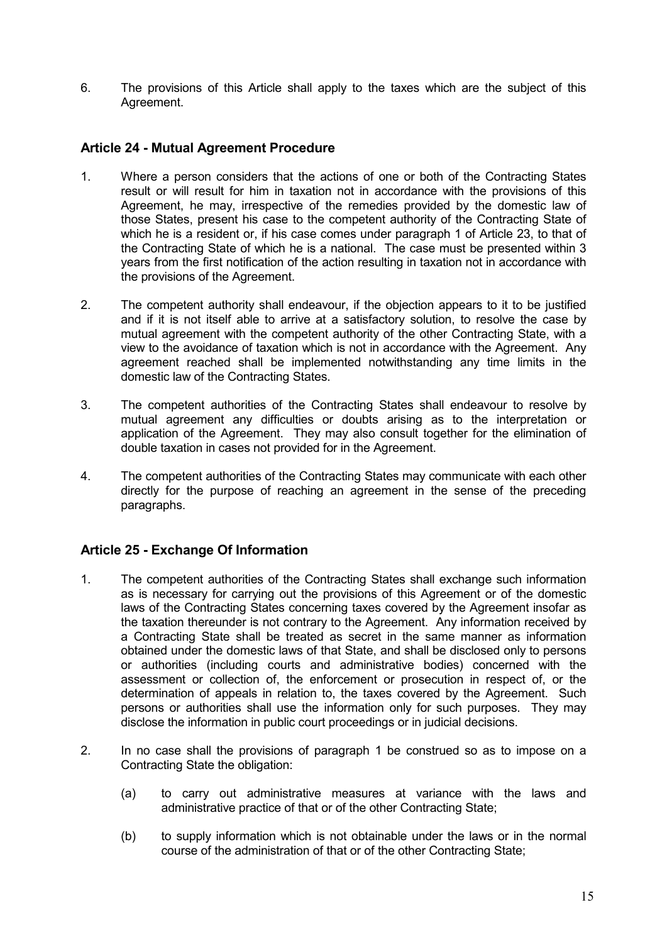6. The provisions of this Article shall apply to the taxes which are the subject of this Agreement.

#### **Article 24 - Mutual Agreement Procedure**

- 1. Where a person considers that the actions of one or both of the Contracting States result or will result for him in taxation not in accordance with the provisions of this Agreement, he may, irrespective of the remedies provided by the domestic law of those States, present his case to the competent authority of the Contracting State of which he is a resident or, if his case comes under paragraph 1 of Article 23, to that of the Contracting State of which he is a national. The case must be presented within 3 years from the first notification of the action resulting in taxation not in accordance with the provisions of the Agreement.
- 2. The competent authority shall endeavour, if the objection appears to it to be justified and if it is not itself able to arrive at a satisfactory solution, to resolve the case by mutual agreement with the competent authority of the other Contracting State, with a view to the avoidance of taxation which is not in accordance with the Agreement. Any agreement reached shall be implemented notwithstanding any time limits in the domestic law of the Contracting States.
- 3. The competent authorities of the Contracting States shall endeavour to resolve by mutual agreement any difficulties or doubts arising as to the interpretation or application of the Agreement. They may also consult together for the elimination of double taxation in cases not provided for in the Agreement.
- 4. The competent authorities of the Contracting States may communicate with each other directly for the purpose of reaching an agreement in the sense of the preceding paragraphs.

# **Article 25 - Exchange Of Information**

- 1. The competent authorities of the Contracting States shall exchange such information as is necessary for carrying out the provisions of this Agreement or of the domestic laws of the Contracting States concerning taxes covered by the Agreement insofar as the taxation thereunder is not contrary to the Agreement. Any information received by a Contracting State shall be treated as secret in the same manner as information obtained under the domestic laws of that State, and shall be disclosed only to persons or authorities (including courts and administrative bodies) concerned with the assessment or collection of, the enforcement or prosecution in respect of, or the determination of appeals in relation to, the taxes covered by the Agreement. Such persons or authorities shall use the information only for such purposes. They may disclose the information in public court proceedings or in judicial decisions.
- 2. In no case shall the provisions of paragraph 1 be construed so as to impose on a Contracting State the obligation:
	- (a) to carry out administrative measures at variance with the laws and administrative practice of that or of the other Contracting State;
	- (b) to supply information which is not obtainable under the laws or in the normal course of the administration of that or of the other Contracting State;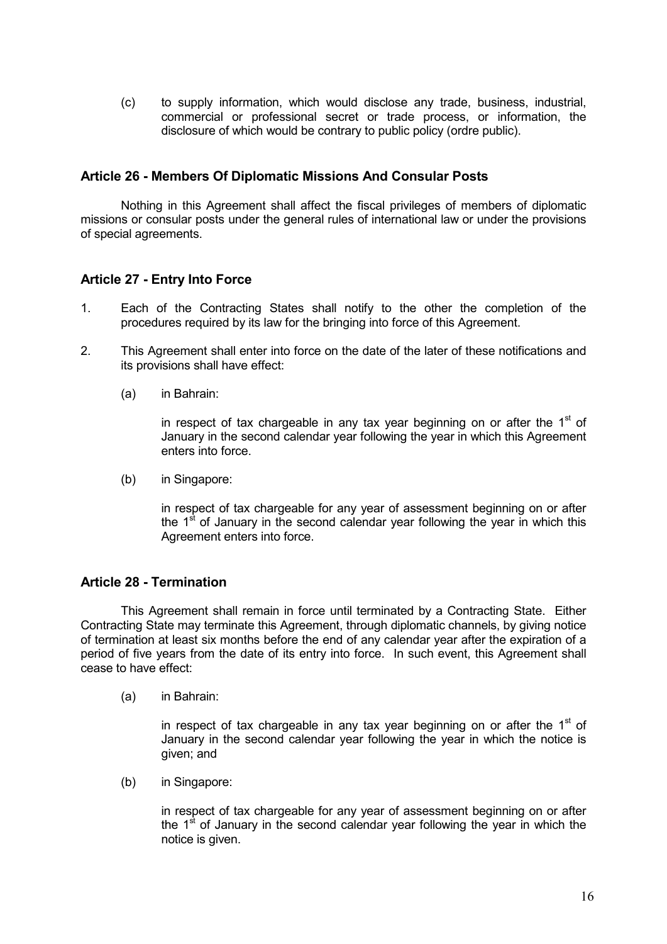(c) to supply information, which would disclose any trade, business, industrial, commercial or professional secret or trade process, or information, the disclosure of which would be contrary to public policy (ordre public).

#### **Article 26 - Members Of Diplomatic Missions And Consular Posts**

 Nothing in this Agreement shall affect the fiscal privileges of members of diplomatic missions or consular posts under the general rules of international law or under the provisions of special agreements.

#### **Article 27 - Entry Into Force**

- 1. Each of the Contracting States shall notify to the other the completion of the procedures required by its law for the bringing into force of this Agreement.
- 2. This Agreement shall enter into force on the date of the later of these notifications and its provisions shall have effect:
	- (a) in Bahrain:

in respect of tax chargeable in any tax year beginning on or after the  $1<sup>st</sup>$  of January in the second calendar year following the year in which this Agreement enters into force.

(b) in Singapore:

in respect of tax chargeable for any year of assessment beginning on or after the  $1<sup>st</sup>$  of January in the second calendar year following the year in which this Agreement enters into force.

#### **Article 28 - Termination**

 This Agreement shall remain in force until terminated by a Contracting State. Either Contracting State may terminate this Agreement, through diplomatic channels, by giving notice of termination at least six months before the end of any calendar year after the expiration of a period of five years from the date of its entry into force. In such event, this Agreement shall cease to have effect:

(a) in Bahrain:

in respect of tax chargeable in any tax year beginning on or after the  $1<sup>st</sup>$  of January in the second calendar year following the year in which the notice is given; and

(b) in Singapore:

in respect of tax chargeable for any year of assessment beginning on or after the 1<sup>st</sup> of January in the second calendar year following the year in which the notice is given.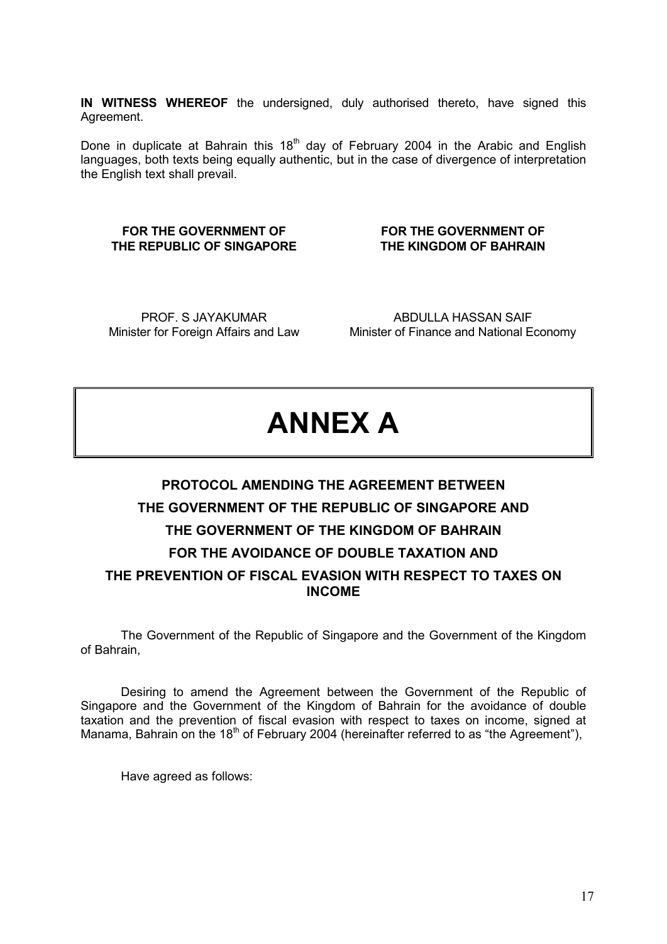**IN WITNESS WHEREOF** the undersigned, duly authorised thereto, have signed this Agreement.

Done in duplicate at Bahrain this  $18<sup>th</sup>$  day of February 2004 in the Arabic and English languages, both texts being equally authentic, but in the case of divergence of interpretation the English text shall prevail.

#### **FOR THE GOVERNMENT OF THE REPUBLIC OF SINGAPORE**

#### **FOR THE GOVERNMENT OF THE KINGDOM OF BAHRAIN**

PROF. S JAYAKUMAR

Minister for Foreign Affairs and Law Minister of Finance and National Economy ABDULLA HASSAN SAIF

# **ANNEX A**

# **PROTOCOL AMENDING THE AGREEMENT BETWEEN THE GOVERNMENT OF THE REPUBLIC OF SINGAPORE AND THE GOVERNMENT OF THE KINGDOM OF BAHRAIN FOR THE AVOIDANCE OF DOUBLE TAXATION AND THE PREVENTION OF FISCAL EVASION WITH RESPECT TO TAXES ON INCOME**

The Government of the Republic of Singapore and the Government of the Kingdom of Bahrain,

Desiring to amend the Agreement between the Government of the Republic of Singapore and the Government of the Kingdom of Bahrain for the avoidance of double taxation and the prevention of fiscal evasion with respect to taxes on income, signed at Manama, Bahrain on the 18<sup>th</sup> of February 2004 (hereinafter referred to as "the Agreement"),

Have agreed as follows: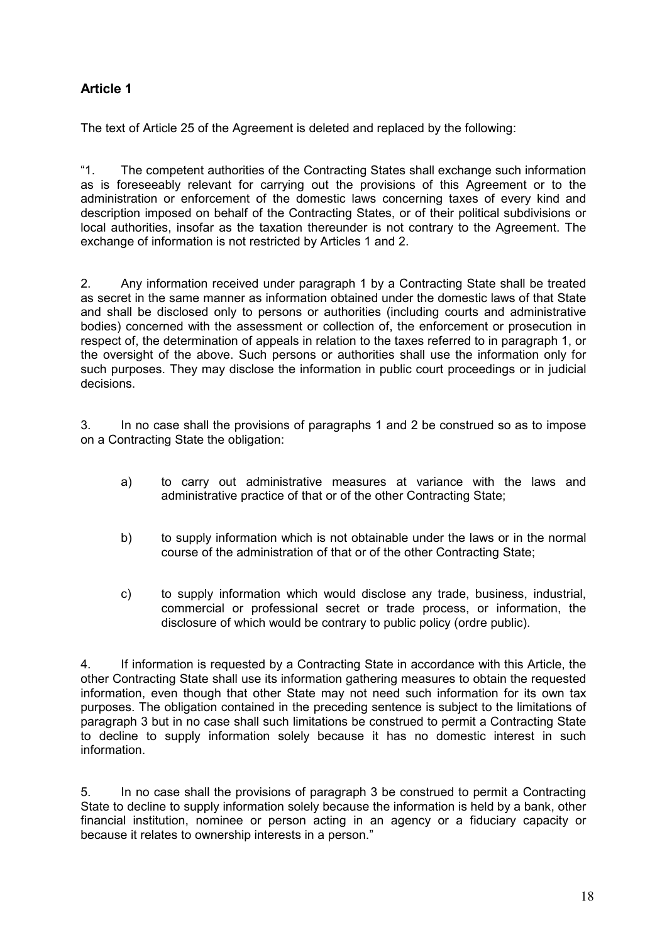# **Article 1**

The text of Article 25 of the Agreement is deleted and replaced by the following:

"1. The competent authorities of the Contracting States shall exchange such information as is foreseeably relevant for carrying out the provisions of this Agreement or to the administration or enforcement of the domestic laws concerning taxes of every kind and description imposed on behalf of the Contracting States, or of their political subdivisions or local authorities, insofar as the taxation thereunder is not contrary to the Agreement. The exchange of information is not restricted by Articles 1 and 2.

2. Any information received under paragraph 1 by a Contracting State shall be treated as secret in the same manner as information obtained under the domestic laws of that State and shall be disclosed only to persons or authorities (including courts and administrative bodies) concerned with the assessment or collection of, the enforcement or prosecution in respect of, the determination of appeals in relation to the taxes referred to in paragraph 1, or the oversight of the above. Such persons or authorities shall use the information only for such purposes. They may disclose the information in public court proceedings or in judicial decisions.

3. In no case shall the provisions of paragraphs 1 and 2 be construed so as to impose on a Contracting State the obligation:

- a) to carry out administrative measures at variance with the laws and administrative practice of that or of the other Contracting State;
- b) to supply information which is not obtainable under the laws or in the normal course of the administration of that or of the other Contracting State;
- c) to supply information which would disclose any trade, business, industrial, commercial or professional secret or trade process, or information, the disclosure of which would be contrary to public policy (ordre public).

4. If information is requested by a Contracting State in accordance with this Article, the other Contracting State shall use its information gathering measures to obtain the requested information, even though that other State may not need such information for its own tax purposes. The obligation contained in the preceding sentence is subject to the limitations of paragraph 3 but in no case shall such limitations be construed to permit a Contracting State to decline to supply information solely because it has no domestic interest in such information.

5. In no case shall the provisions of paragraph 3 be construed to permit a Contracting State to decline to supply information solely because the information is held by a bank, other financial institution, nominee or person acting in an agency or a fiduciary capacity or because it relates to ownership interests in a person."